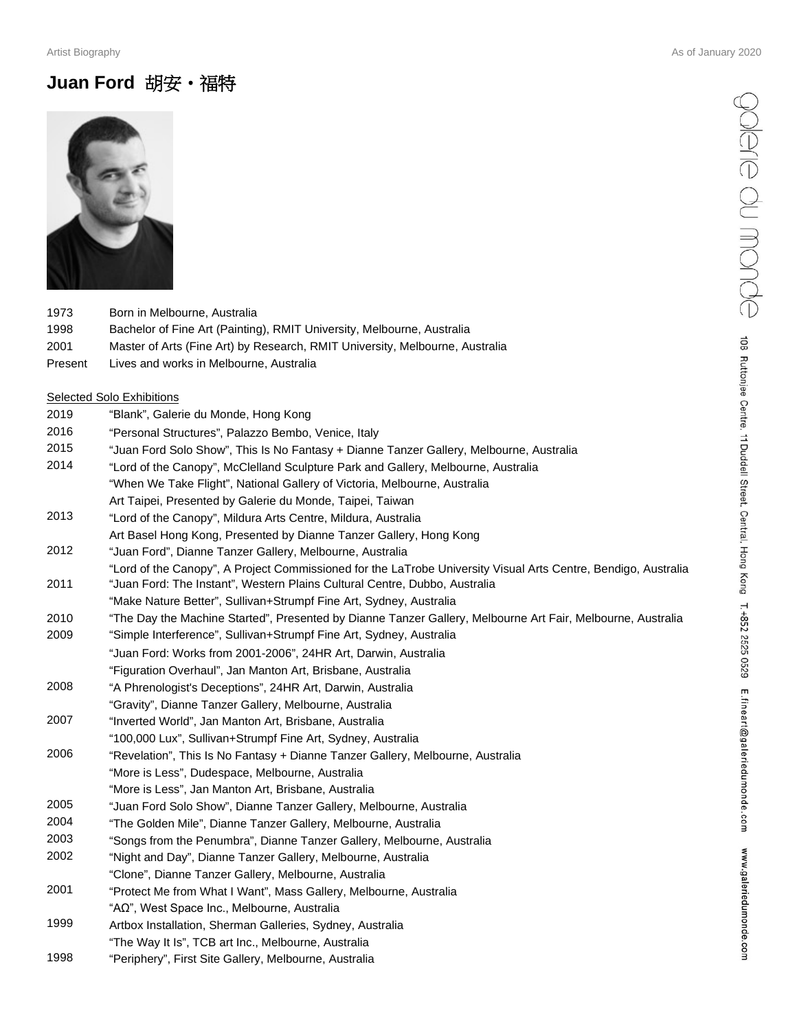## **Juan Ford** 胡安•福特



| 1973    | Born in Melbourne, Australia                                                 |
|---------|------------------------------------------------------------------------------|
| 1998    | Bachelor of Fine Art (Painting), RMIT University, Melbourne, Australia       |
| 2001    | Master of Arts (Fine Art) by Research, RMIT University, Melbourne, Australia |
| Present | Lives and works in Melbourne, Australia                                      |

#### Selected Solo Exhibitions

| 2019 | "Blank", Galerie du Monde, Hong Kong                                                                                                                                                         |
|------|----------------------------------------------------------------------------------------------------------------------------------------------------------------------------------------------|
| 2016 | "Personal Structures", Palazzo Bembo, Venice, Italy                                                                                                                                          |
| 2015 | "Juan Ford Solo Show", This Is No Fantasy + Dianne Tanzer Gallery, Melbourne, Australia                                                                                                      |
| 2014 | "Lord of the Canopy", McClelland Sculpture Park and Gallery, Melbourne, Australia                                                                                                            |
|      | "When We Take Flight", National Gallery of Victoria, Melbourne, Australia                                                                                                                    |
|      | Art Taipei, Presented by Galerie du Monde, Taipei, Taiwan                                                                                                                                    |
| 2013 | "Lord of the Canopy", Mildura Arts Centre, Mildura, Australia                                                                                                                                |
|      | Art Basel Hong Kong, Presented by Dianne Tanzer Gallery, Hong Kong                                                                                                                           |
| 2012 | "Juan Ford", Dianne Tanzer Gallery, Melbourne, Australia                                                                                                                                     |
| 2011 | "Lord of the Canopy", A Project Commissioned for the LaTrobe University Visual Arts Centre, Bendigo, Australia<br>"Juan Ford: The Instant", Western Plains Cultural Centre, Dubbo, Australia |
|      | "Make Nature Better", Sullivan+Strumpf Fine Art, Sydney, Australia                                                                                                                           |
| 2010 | "The Day the Machine Started", Presented by Dianne Tanzer Gallery, Melbourne Art Fair, Melbourne, Australia                                                                                  |
| 2009 | "Simple Interference", Sullivan+Strumpf Fine Art, Sydney, Australia                                                                                                                          |
|      | "Juan Ford: Works from 2001-2006", 24HR Art, Darwin, Australia                                                                                                                               |
|      | "Figuration Overhaul", Jan Manton Art, Brisbane, Australia                                                                                                                                   |
| 2008 | "A Phrenologist's Deceptions", 24HR Art, Darwin, Australia                                                                                                                                   |
|      | "Gravity", Dianne Tanzer Gallery, Melbourne, Australia                                                                                                                                       |
| 2007 | "Inverted World", Jan Manton Art, Brisbane, Australia                                                                                                                                        |
|      | "100,000 Lux", Sullivan+Strumpf Fine Art, Sydney, Australia                                                                                                                                  |
| 2006 | "Revelation", This Is No Fantasy + Dianne Tanzer Gallery, Melbourne, Australia                                                                                                               |
|      | "More is Less", Dudespace, Melbourne, Australia                                                                                                                                              |
|      | "More is Less", Jan Manton Art, Brisbane, Australia                                                                                                                                          |
| 2005 | "Juan Ford Solo Show", Dianne Tanzer Gallery, Melbourne, Australia                                                                                                                           |
| 2004 | "The Golden Mile", Dianne Tanzer Gallery, Melbourne, Australia                                                                                                                               |
| 2003 | "Songs from the Penumbra", Dianne Tanzer Gallery, Melbourne, Australia                                                                                                                       |
| 2002 | "Night and Day", Dianne Tanzer Gallery, Melbourne, Australia                                                                                                                                 |
|      | "Clone", Dianne Tanzer Gallery, Melbourne, Australia                                                                                                                                         |
| 2001 | "Protect Me from What I Want", Mass Gallery, Melbourne, Australia                                                                                                                            |
|      | "AΩ", West Space Inc., Melbourne, Australia                                                                                                                                                  |
| 1999 | Artbox Installation, Sherman Galleries, Sydney, Australia                                                                                                                                    |
|      | "The Way It Is", TCB art Inc., Melbourne, Australia                                                                                                                                          |
| 1998 | "Periphery", First Site Gallery, Melbourne, Australia                                                                                                                                        |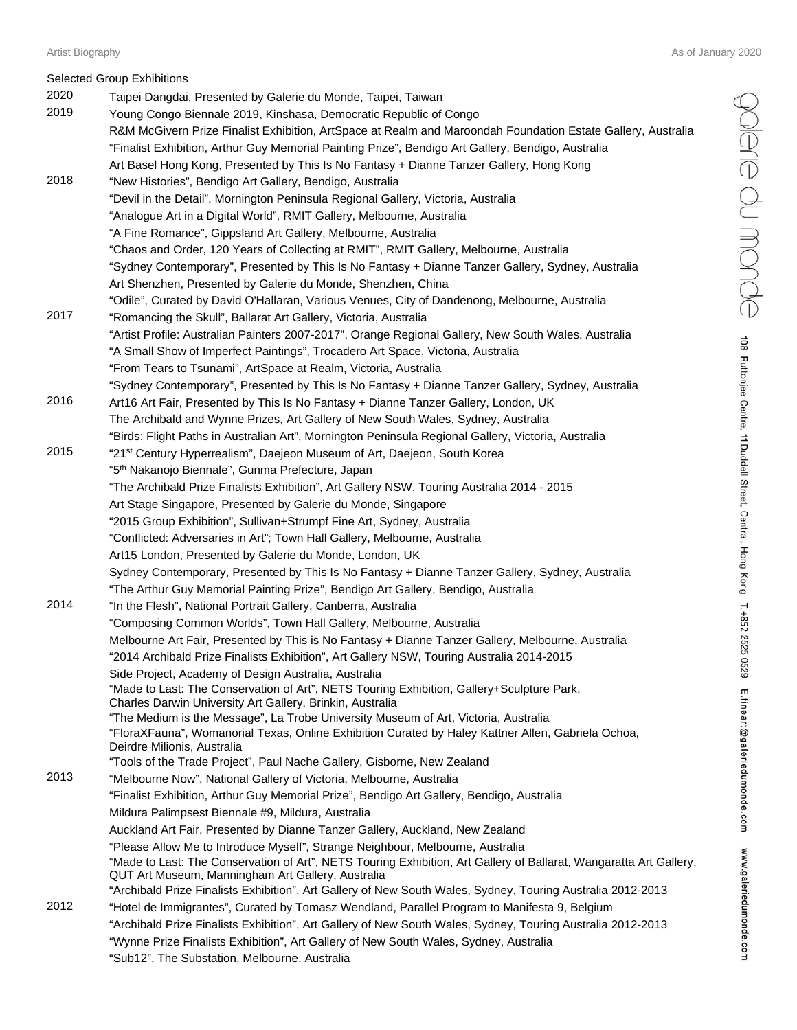## Selected Group Exhibitions

| ごくこく くく                                                                   |
|---------------------------------------------------------------------------|
|                                                                           |
|                                                                           |
|                                                                           |
|                                                                           |
|                                                                           |
|                                                                           |
|                                                                           |
|                                                                           |
|                                                                           |
| i                                                                         |
| 25<br>ś                                                                   |
| 1<br>ı<br>T<br>a i p<br>Q<br>١<br>ć<br>I<br>í<br>i<br>Í<br>Ξ<br>í<br>.com |
| $\vdots$<br>Ś<br><br>ļ<br>Í<br>ׇ֚֘<br>$\ddot{\phantom{0}}$<br>Ĺ           |

| 2020 | <b>POCIOUGO OTOUP EXHIBITIONS</b><br>Taipei Dangdai, Presented by Galerie du Monde, Taipei, Taiwan                                                                                        |
|------|-------------------------------------------------------------------------------------------------------------------------------------------------------------------------------------------|
| 2019 | Young Congo Biennale 2019, Kinshasa, Democratic Republic of Congo                                                                                                                         |
|      | R&M McGivern Prize Finalist Exhibition, ArtSpace at Realm and Maroondah Foundation Estate Gallery, Australia                                                                              |
|      | "Finalist Exhibition, Arthur Guy Memorial Painting Prize", Bendigo Art Gallery, Bendigo, Australia                                                                                        |
|      | Art Basel Hong Kong, Presented by This Is No Fantasy + Dianne Tanzer Gallery, Hong Kong                                                                                                   |
| 2018 | "New Histories", Bendigo Art Gallery, Bendigo, Australia                                                                                                                                  |
|      | "Devil in the Detail", Mornington Peninsula Regional Gallery, Victoria, Australia                                                                                                         |
|      | "Analogue Art in a Digital World", RMIT Gallery, Melbourne, Australia                                                                                                                     |
|      | "A Fine Romance", Gippsland Art Gallery, Melbourne, Australia                                                                                                                             |
|      | "Chaos and Order, 120 Years of Collecting at RMIT", RMIT Gallery, Melbourne, Australia                                                                                                    |
|      | "Sydney Contemporary", Presented by This Is No Fantasy + Dianne Tanzer Gallery, Sydney, Australia                                                                                         |
|      | Art Shenzhen, Presented by Galerie du Monde, Shenzhen, China                                                                                                                              |
|      | "Odile", Curated by David O'Hallaran, Various Venues, City of Dandenong, Melbourne, Australia                                                                                             |
| 2017 | "Romancing the Skull", Ballarat Art Gallery, Victoria, Australia                                                                                                                          |
|      | "Artist Profile: Australian Painters 2007-2017", Orange Regional Gallery, New South Wales, Australia                                                                                      |
|      | "A Small Show of Imperfect Paintings", Trocadero Art Space, Victoria, Australia                                                                                                           |
|      | "From Tears to Tsunami", ArtSpace at Realm, Victoria, Australia                                                                                                                           |
|      | "Sydney Contemporary", Presented by This Is No Fantasy + Dianne Tanzer Gallery, Sydney, Australia                                                                                         |
| 2016 | Art16 Art Fair, Presented by This Is No Fantasy + Dianne Tanzer Gallery, London, UK                                                                                                       |
|      | The Archibald and Wynne Prizes, Art Gallery of New South Wales, Sydney, Australia                                                                                                         |
| 2015 | "Birds: Flight Paths in Australian Art", Mornington Peninsula Regional Gallery, Victoria, Australia                                                                                       |
|      | "21 <sup>st</sup> Century Hyperrealism", Daejeon Museum of Art, Daejeon, South Korea                                                                                                      |
|      | "5 <sup>th</sup> Nakanojo Biennale", Gunma Prefecture, Japan                                                                                                                              |
|      | "The Archibald Prize Finalists Exhibition", Art Gallery NSW, Touring Australia 2014 - 2015<br>Art Stage Singapore, Presented by Galerie du Monde, Singapore                               |
|      | "2015 Group Exhibition", Sullivan+Strumpf Fine Art, Sydney, Australia                                                                                                                     |
|      | "Conflicted: Adversaries in Art"; Town Hall Gallery, Melbourne, Australia                                                                                                                 |
|      | Art15 London, Presented by Galerie du Monde, London, UK                                                                                                                                   |
|      | Sydney Contemporary, Presented by This Is No Fantasy + Dianne Tanzer Gallery, Sydney, Australia                                                                                           |
|      | "The Arthur Guy Memorial Painting Prize", Bendigo Art Gallery, Bendigo, Australia                                                                                                         |
| 2014 | "In the Flesh", National Portrait Gallery, Canberra, Australia                                                                                                                            |
|      | "Composing Common Worlds", Town Hall Gallery, Melbourne, Australia                                                                                                                        |
|      | Melbourne Art Fair, Presented by This is No Fantasy + Dianne Tanzer Gallery, Melbourne, Australia                                                                                         |
|      | "2014 Archibald Prize Finalists Exhibition", Art Gallery NSW, Touring Australia 2014-2015                                                                                                 |
|      | Side Project, Academy of Design Australia, Australia                                                                                                                                      |
|      | "Made to Last: The Conservation of Art", NETS Touring Exhibition, Gallery+Sculpture Park,                                                                                                 |
|      | Charles Darwin University Art Gallery, Brinkin, Australia                                                                                                                                 |
|      | "The Medium is the Message", La Trobe University Museum of Art, Victoria, Australia<br>"FloraXFauna", Womanorial Texas, Online Exhibition Curated by Haley Kattner Allen, Gabriela Ochoa, |
|      | Deirdre Milionis, Australia                                                                                                                                                               |
|      | "Tools of the Trade Project", Paul Nache Gallery, Gisborne, New Zealand                                                                                                                   |
| 2013 | "Melbourne Now", National Gallery of Victoria, Melbourne, Australia                                                                                                                       |
|      | "Finalist Exhibition, Arthur Guy Memorial Prize", Bendigo Art Gallery, Bendigo, Australia                                                                                                 |
|      | Mildura Palimpsest Biennale #9, Mildura, Australia                                                                                                                                        |
|      | Auckland Art Fair, Presented by Dianne Tanzer Gallery, Auckland, New Zealand                                                                                                              |
|      | "Please Allow Me to Introduce Myself", Strange Neighbour, Melbourne, Australia                                                                                                            |
|      | "Made to Last: The Conservation of Art", NETS Touring Exhibition, Art Gallery of Ballarat, Wangaratta Art Gallery,                                                                        |
|      | QUT Art Museum, Manningham Art Gallery, Australia<br>"Archibald Prize Finalists Exhibition", Art Gallery of New South Wales, Sydney, Touring Australia 2012-2013                          |
| 2012 | "Hotel de Immigrantes", Curated by Tomasz Wendland, Parallel Program to Manifesta 9, Belgium                                                                                              |
|      | "Archibald Prize Finalists Exhibition", Art Gallery of New South Wales, Sydney, Touring Australia 2012-2013                                                                               |
|      | "Wynne Prize Finalists Exhibition", Art Gallery of New South Wales, Sydney, Australia                                                                                                     |
|      |                                                                                                                                                                                           |

"Sub12", The Substation, Melbourne, Australia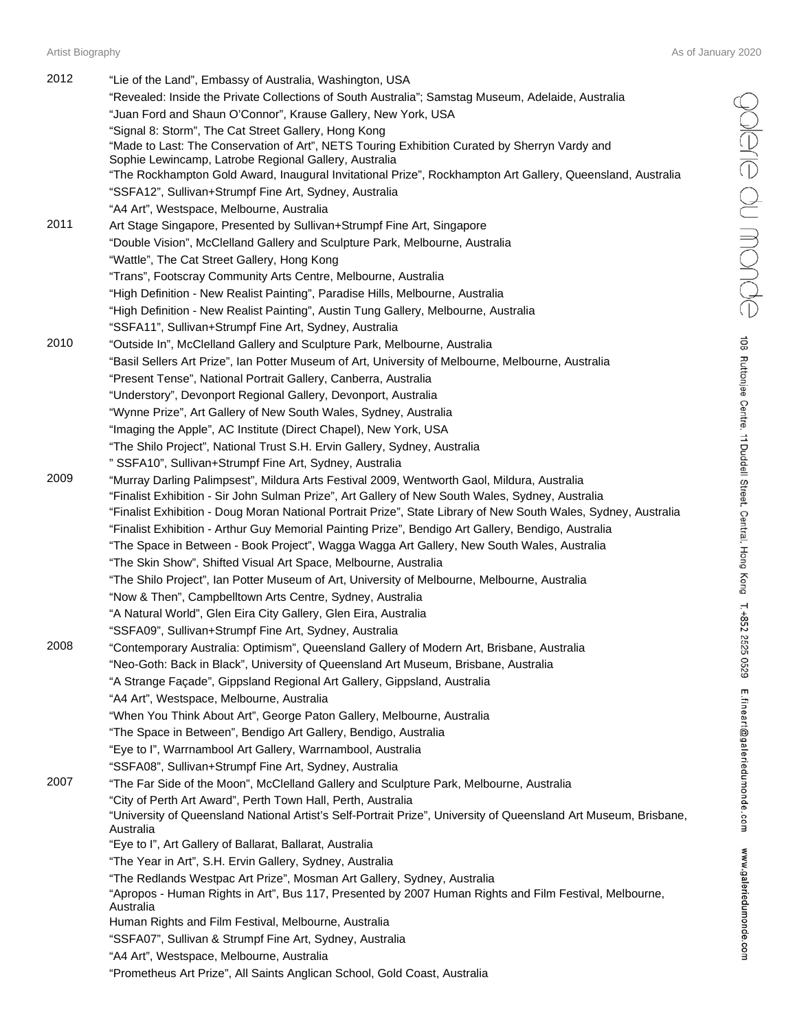edne du monde

108 Ruttonjee Centre, 11 Duddell Street, Central, Hong Kong T.+852 2525 0529 E.fineart@galeriedumonde.com www.galeriedumonde.com

| 2012 | "Lie of the Land", Embassy of Australia, Washington, USA                                                                                                                                        |
|------|-------------------------------------------------------------------------------------------------------------------------------------------------------------------------------------------------|
|      | "Revealed: Inside the Private Collections of South Australia"; Samstag Museum, Adelaide, Australia                                                                                              |
|      | "Juan Ford and Shaun O'Connor", Krause Gallery, New York, USA                                                                                                                                   |
|      | "Signal 8: Storm", The Cat Street Gallery, Hong Kong                                                                                                                                            |
|      | "Made to Last: The Conservation of Art", NETS Touring Exhibition Curated by Sherryn Vardy and                                                                                                   |
|      | Sophie Lewincamp, Latrobe Regional Gallery, Australia                                                                                                                                           |
|      | "The Rockhampton Gold Award, Inaugural Invitational Prize", Rockhampton Art Gallery, Queensland, Australia                                                                                      |
|      | "SSFA12", Sullivan+Strumpf Fine Art, Sydney, Australia                                                                                                                                          |
|      | "A4 Art", Westspace, Melbourne, Australia                                                                                                                                                       |
| 2011 | Art Stage Singapore, Presented by Sullivan+Strumpf Fine Art, Singapore                                                                                                                          |
|      | "Double Vision", McClelland Gallery and Sculpture Park, Melbourne, Australia                                                                                                                    |
|      | "Wattle", The Cat Street Gallery, Hong Kong                                                                                                                                                     |
|      | "Trans", Footscray Community Arts Centre, Melbourne, Australia                                                                                                                                  |
|      | "High Definition - New Realist Painting", Paradise Hills, Melbourne, Australia                                                                                                                  |
|      | "High Definition - New Realist Painting", Austin Tung Gallery, Melbourne, Australia                                                                                                             |
|      | "SSFA11", Sullivan+Strumpf Fine Art, Sydney, Australia                                                                                                                                          |
| 2010 | "Outside In", McClelland Gallery and Sculpture Park, Melbourne, Australia                                                                                                                       |
|      | "Basil Sellers Art Prize", Ian Potter Museum of Art, University of Melbourne, Melbourne, Australia                                                                                              |
|      | "Present Tense", National Portrait Gallery, Canberra, Australia                                                                                                                                 |
|      | "Understory", Devonport Regional Gallery, Devonport, Australia                                                                                                                                  |
|      | "Wynne Prize", Art Gallery of New South Wales, Sydney, Australia                                                                                                                                |
|      | "Imaging the Apple", AC Institute (Direct Chapel), New York, USA                                                                                                                                |
|      | "The Shilo Project", National Trust S.H. Ervin Gallery, Sydney, Australia                                                                                                                       |
|      | " SSFA10", Sullivan+Strumpf Fine Art, Sydney, Australia                                                                                                                                         |
| 2009 |                                                                                                                                                                                                 |
|      | "Murray Darling Palimpsest", Mildura Arts Festival 2009, Wentworth Gaol, Mildura, Australia<br>"Finalist Exhibition - Sir John Sulman Prize", Art Gallery of New South Wales, Sydney, Australia |
|      | "Finalist Exhibition - Doug Moran National Portrait Prize", State Library of New South Wales, Sydney, Australia                                                                                 |
|      | "Finalist Exhibition - Arthur Guy Memorial Painting Prize", Bendigo Art Gallery, Bendigo, Australia                                                                                             |
|      | "The Space in Between - Book Project", Wagga Wagga Art Gallery, New South Wales, Australia                                                                                                      |
|      |                                                                                                                                                                                                 |
|      | "The Skin Show", Shifted Visual Art Space, Melbourne, Australia                                                                                                                                 |
|      | "The Shilo Project", Ian Potter Museum of Art, University of Melbourne, Melbourne, Australia                                                                                                    |
|      | "Now & Then", Campbelltown Arts Centre, Sydney, Australia                                                                                                                                       |
|      | "A Natural World", Glen Eira City Gallery, Glen Eira, Australia                                                                                                                                 |
| 2008 | "SSFA09", Sullivan+Strumpf Fine Art, Sydney, Australia                                                                                                                                          |
|      | "Contemporary Australia: Optimism", Queensland Gallery of Modern Art, Brisbane, Australia                                                                                                       |
|      | "Neo-Goth: Back in Black", University of Queensland Art Museum, Brisbane, Australia                                                                                                             |
|      | "A Strange Façade", Gippsland Regional Art Gallery, Gippsland, Australia                                                                                                                        |
|      | "A4 Art", Westspace, Melbourne, Australia                                                                                                                                                       |
|      | "When You Think About Art", George Paton Gallery, Melbourne, Australia                                                                                                                          |
|      | "The Space in Between", Bendigo Art Gallery, Bendigo, Australia                                                                                                                                 |
|      | "Eye to I", Warrnambool Art Gallery, Warrnambool, Australia                                                                                                                                     |
|      | "SSFA08", Sullivan+Strumpf Fine Art, Sydney, Australia                                                                                                                                          |
| 2007 | "The Far Side of the Moon", McClelland Gallery and Sculpture Park, Melbourne, Australia                                                                                                         |
|      | "City of Perth Art Award", Perth Town Hall, Perth, Australia                                                                                                                                    |
|      | "University of Queensland National Artist's Self-Portrait Prize", University of Queensland Art Museum, Brisbane,                                                                                |
|      | Australia                                                                                                                                                                                       |
|      | "Eye to I", Art Gallery of Ballarat, Ballarat, Australia                                                                                                                                        |
|      | "The Year in Art", S.H. Ervin Gallery, Sydney, Australia                                                                                                                                        |
|      | "The Redlands Westpac Art Prize", Mosman Art Gallery, Sydney, Australia                                                                                                                         |
|      | "Apropos - Human Rights in Art", Bus 117, Presented by 2007 Human Rights and Film Festival, Melbourne,<br>Australia                                                                             |
|      | Human Rights and Film Festival, Melbourne, Australia                                                                                                                                            |
|      | "SSFA07", Sullivan & Strumpf Fine Art, Sydney, Australia                                                                                                                                        |
|      | "A4 Art", Westspace, Melbourne, Australia                                                                                                                                                       |
|      | "Prometheus Art Prize", All Saints Anglican School, Gold Coast, Australia                                                                                                                       |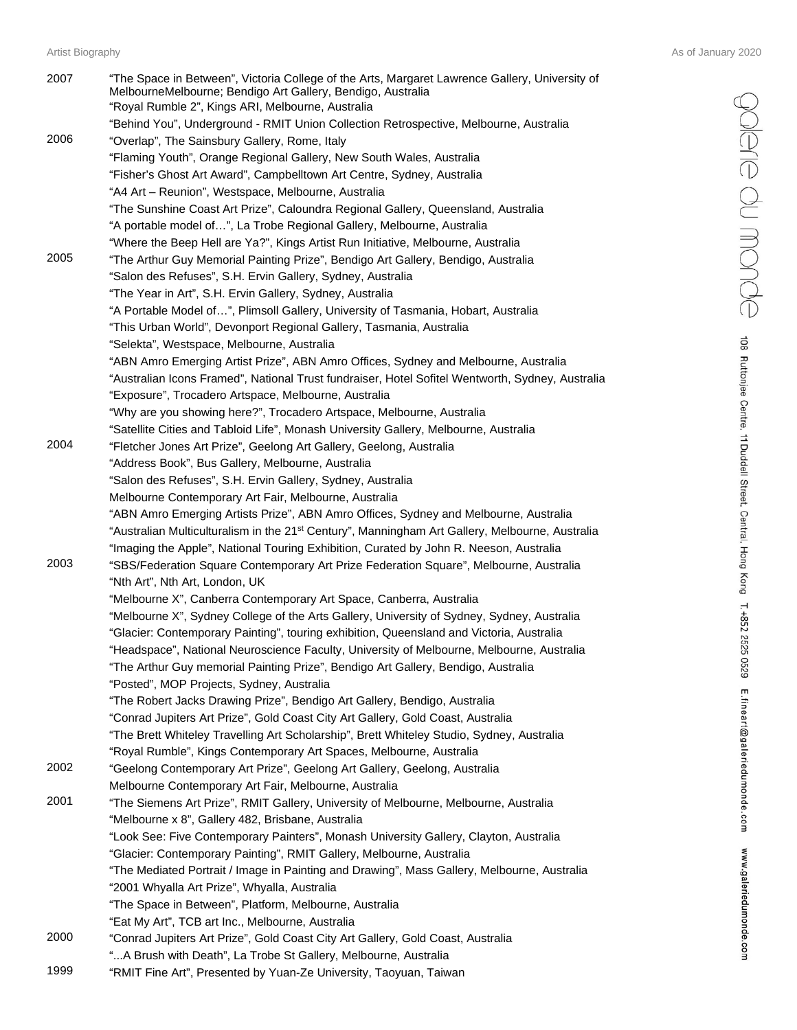| 2007 | "The Space in Between", Victoria College of the Arts, Margaret Lawrence Gallery, University of<br>MelbourneMelbourne; Bendigo Art Gallery, Bendigo, Australia<br>"Royal Rumble 2", Kings ARI, Melbourne, Australia |
|------|--------------------------------------------------------------------------------------------------------------------------------------------------------------------------------------------------------------------|
| 2006 | "Behind You", Underground - RMIT Union Collection Retrospective, Melbourne, Australia<br>"Overlap", The Sainsbury Gallery, Rome, Italy                                                                             |
|      | "Flaming Youth", Orange Regional Gallery, New South Wales, Australia                                                                                                                                               |
|      | "Fisher's Ghost Art Award", Campbelltown Art Centre, Sydney, Australia                                                                                                                                             |
|      | "A4 Art - Reunion", Westspace, Melbourne, Australia                                                                                                                                                                |
|      | "The Sunshine Coast Art Prize", Caloundra Regional Gallery, Queensland, Australia                                                                                                                                  |
|      | "A portable model of", La Trobe Regional Gallery, Melbourne, Australia                                                                                                                                             |
|      | "Where the Beep Hell are Ya?", Kings Artist Run Initiative, Melbourne, Australia                                                                                                                                   |
| 2005 | "The Arthur Guy Memorial Painting Prize", Bendigo Art Gallery, Bendigo, Australia                                                                                                                                  |
|      | "Salon des Refuses", S.H. Ervin Gallery, Sydney, Australia                                                                                                                                                         |
|      | "The Year in Art", S.H. Ervin Gallery, Sydney, Australia                                                                                                                                                           |
|      | "A Portable Model of", Plimsoll Gallery, University of Tasmania, Hobart, Australia                                                                                                                                 |
|      | "This Urban World", Devonport Regional Gallery, Tasmania, Australia                                                                                                                                                |
|      | "Selekta", Westspace, Melbourne, Australia                                                                                                                                                                         |
|      | "ABN Amro Emerging Artist Prize", ABN Amro Offices, Sydney and Melbourne, Australia                                                                                                                                |
|      | "Australian Icons Framed", National Trust fundraiser, Hotel Sofitel Wentworth, Sydney, Australia                                                                                                                   |
|      | "Exposure", Trocadero Artspace, Melbourne, Australia                                                                                                                                                               |
|      | "Why are you showing here?", Trocadero Artspace, Melbourne, Australia                                                                                                                                              |
| 2004 | "Satellite Cities and Tabloid Life", Monash University Gallery, Melbourne, Australia<br>"Fletcher Jones Art Prize", Geelong Art Gallery, Geelong, Australia                                                        |
|      | "Address Book", Bus Gallery, Melbourne, Australia                                                                                                                                                                  |
|      | "Salon des Refuses", S.H. Ervin Gallery, Sydney, Australia                                                                                                                                                         |
|      | Melbourne Contemporary Art Fair, Melbourne, Australia                                                                                                                                                              |
|      | "ABN Amro Emerging Artists Prize", ABN Amro Offices, Sydney and Melbourne, Australia                                                                                                                               |
|      | "Australian Multiculturalism in the 21 <sup>st</sup> Century", Manningham Art Gallery, Melbourne, Australia<br>"Imaging the Apple", National Touring Exhibition, Curated by John R. Neeson, Australia              |
| 2003 | "SBS/Federation Square Contemporary Art Prize Federation Square", Melbourne, Australia                                                                                                                             |
|      | "Nth Art", Nth Art, London, UK                                                                                                                                                                                     |
|      | "Melbourne X", Canberra Contemporary Art Space, Canberra, Australia                                                                                                                                                |
|      | "Melbourne X", Sydney College of the Arts Gallery, University of Sydney, Sydney, Australia                                                                                                                         |
|      | "Glacier: Contemporary Painting", touring exhibition, Queensland and Victoria, Australia                                                                                                                           |
|      | "Headspace", National Neuroscience Faculty, University of Melbourne, Melbourne, Australia                                                                                                                          |
|      | "The Arthur Guy memorial Painting Prize", Bendigo Art Gallery, Bendigo, Australia                                                                                                                                  |
|      | "Posted", MOP Projects, Sydney, Australia                                                                                                                                                                          |
|      | "The Robert Jacks Drawing Prize", Bendigo Art Gallery, Bendigo, Australia                                                                                                                                          |
|      | "Conrad Jupiters Art Prize", Gold Coast City Art Gallery, Gold Coast, Australia                                                                                                                                    |
|      | "The Brett Whiteley Travelling Art Scholarship", Brett Whiteley Studio, Sydney, Australia                                                                                                                          |
|      | "Royal Rumble", Kings Contemporary Art Spaces, Melbourne, Australia                                                                                                                                                |
| 2002 | "Geelong Contemporary Art Prize", Geelong Art Gallery, Geelong, Australia                                                                                                                                          |
|      | Melbourne Contemporary Art Fair, Melbourne, Australia                                                                                                                                                              |
| 2001 | "The Siemens Art Prize", RMIT Gallery, University of Melbourne, Melbourne, Australia                                                                                                                               |
|      | "Melbourne x 8", Gallery 482, Brisbane, Australia                                                                                                                                                                  |
|      | "Look See: Five Contemporary Painters", Monash University Gallery, Clayton, Australia                                                                                                                              |
|      | "Glacier: Contemporary Painting", RMIT Gallery, Melbourne, Australia                                                                                                                                               |
|      | "The Mediated Portrait / Image in Painting and Drawing", Mass Gallery, Melbourne, Australia                                                                                                                        |
|      | "2001 Whyalla Art Prize", Whyalla, Australia                                                                                                                                                                       |
|      | "The Space in Between", Platform, Melbourne, Australia                                                                                                                                                             |
|      | "Eat My Art", TCB art Inc., Melbourne, Australia                                                                                                                                                                   |
| 2000 | "Conrad Jupiters Art Prize", Gold Coast City Art Gallery, Gold Coast, Australia                                                                                                                                    |
|      | "A Brush with Death", La Trobe St Gallery, Melbourne, Australia                                                                                                                                                    |
| 1999 | "RMIT Fine Art", Presented by Yuan-Ze University, Taoyuan, Taiwan                                                                                                                                                  |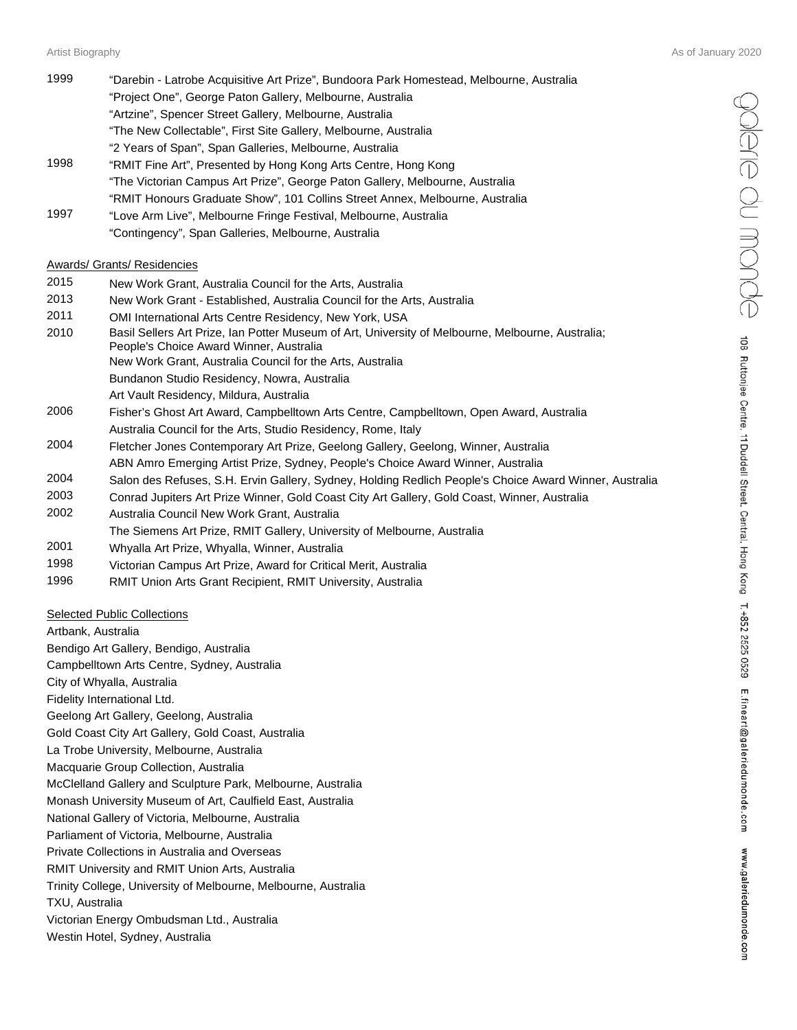| 1999 | "Darebin - Latrobe Acquisitive Art Prize", Bundoora Park Homestead, Melbourne, Australia |
|------|------------------------------------------------------------------------------------------|
|      | "Project One", George Paton Gallery, Melbourne, Australia                                |
|      | "Artzine", Spencer Street Gallery, Melbourne, Australia                                  |
|      | "The New Collectable", First Site Gallery, Melbourne, Australia                          |
|      | "2 Years of Span", Span Galleries, Melbourne, Australia                                  |
| 1998 | "RMIT Fine Art", Presented by Hong Kong Arts Centre, Hong Kong                           |
|      | "The Victorian Campus Art Prize", George Paton Gallery, Melbourne, Australia             |
|      | "RMIT Honours Graduate Show", 101 Collins Street Annex, Melbourne, Australia             |
|      |                                                                                          |

1997 "Love Arm Live", Melbourne Fringe Festival, Melbourne, Australia "Contingency", Span Galleries, Melbourne, Australia

#### Awards/ Grants/ Residencies

| 2015 | New Work Grant, Australia Council for the Arts, Australia |  |  |  |  |
|------|-----------------------------------------------------------|--|--|--|--|
|------|-----------------------------------------------------------|--|--|--|--|

- 2013 New Work Grant Established, Australia Council for the Arts, Australia
- 2011 OMI International Arts Centre Residency, New York, USA
- 2010 Basil Sellers Art Prize, Ian Potter Museum of Art, University of Melbourne, Melbourne, Australia; People's Choice Award Winner, Australia
	- New Work Grant, Australia Council for the Arts, Australia
		- Bundanon Studio Residency, Nowra, Australia
		- Art Vault Residency, Mildura, Australia
- 2006 Fisher's Ghost Art Award, Campbelltown Arts Centre, Campbelltown, Open Award, Australia Australia Council for the Arts, Studio Residency, Rome, Italy
- 2004 Fletcher Jones Contemporary Art Prize, Geelong Gallery, Geelong, Winner, Australia ABN Amro Emerging Artist Prize, Sydney, People's Choice Award Winner, Australia
- 2004 Salon des Refuses, S.H. Ervin Gallery, Sydney, Holding Redlich People's Choice Award Winner, Australia
- 2003 Conrad Jupiters Art Prize Winner, Gold Coast City Art Gallery, Gold Coast, Winner, Australia
- 2002 Australia Council New Work Grant, Australia
- The Siemens Art Prize, RMIT Gallery, University of Melbourne, Australia
- 2001 Whyalla Art Prize, Whyalla, Winner, Australia
- 1998 Victorian Campus Art Prize, Award for Critical Merit, Australia
- 1996 RMIT Union Arts Grant Recipient, RMIT University, Australia

#### Selected Public Collections

Artbank, Australia Bendigo Art Gallery, Bendigo, Australia Campbelltown Arts Centre, Sydney, Australia City of Whyalla, Australia Fidelity International Ltd. Geelong Art Gallery, Geelong, Australia Gold Coast City Art Gallery, Gold Coast, Australia La Trobe University, Melbourne, Australia Macquarie Group Collection, Australia McClelland Gallery and Sculpture Park, Melbourne, Australia Monash University Museum of Art, Caulfield East, Australia National Gallery of Victoria, Melbourne, Australia Parliament of Victoria, Melbourne, Australia Private Collections in Australia and Overseas RMIT University and RMIT Union Arts, Australia Trinity College, University of Melbourne, Melbourne, Australia TXU, Australia Victorian Energy Ombudsman Ltd., Australia Westin Hotel, Sydney, Australia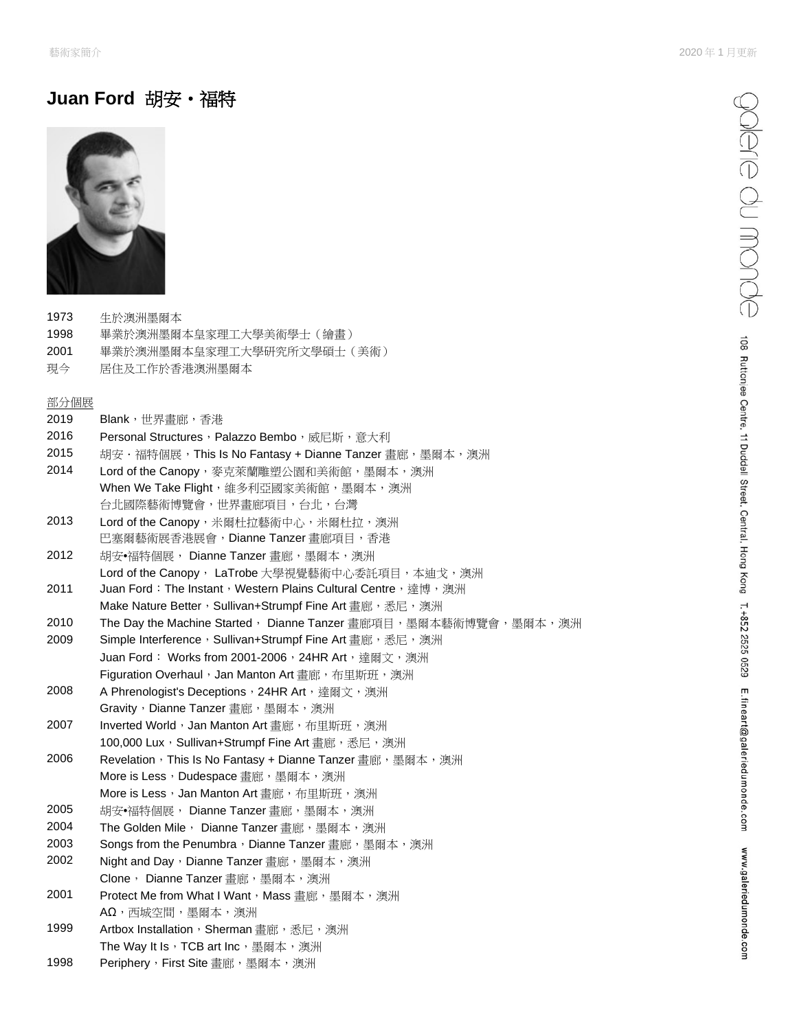# **Juan Ford** 胡安•福特



- 1973 生於澳洲墨爾本
- 1998 畢業於澳洲墨爾本皇家理工大學美術學士(繪畫)
- 2001 畢業於澳洲墨爾本皇家理工大學研究所文學碩士(美術)
- 現今 居住及工作於香港澳洲墨爾本

## 部分個展

| 2019 | Blank,世界畫廊,香港                                                   |
|------|-----------------------------------------------------------------|
| 2016 | Personal Structures, Palazzo Bembo, 威尼斯, 意大利                    |
| 2015 | 胡安·福特個展, This Is No Fantasy + Dianne Tanzer 畫廊,墨爾本,澳洲           |
| 2014 | Lord of the Canopy,麥克萊蘭雕塑公園和美術館,墨爾本,澳洲                          |
|      | When We Take Flight, 維多利亞國家美術館, 墨爾本, 澳洲                         |
|      | 台北國際藝術博覽會,世界畫廊項目,台北,台灣                                          |
| 2013 | Lord of the Canopy, 米爾杜拉藝術中心, 米爾杜拉, 澳洲                          |
|      | 巴塞爾藝術展香港展會,Dianne Tanzer 畫廊項目,香港                                |
| 2012 | 胡安•福特個展, Dianne Tanzer 書廊,墨爾本,澳洲                                |
|      | Lord of the Canopy, LaTrobe 大學視覺藝術中心委託項目, 本迪戈, 澳洲               |
| 2011 | Juan Ford: The Instant, Western Plains Cultural Centre, 達博, 澳洲  |
|      | Make Nature Better, Sullivan+Strumpf Fine Art 畫廊,悉尼,澳洲          |
| 2010 | The Day the Machine Started, Dianne Tanzer 畫廊項目,墨爾本藝術博覽會,墨爾本,澳洲 |
| 2009 | Simple Interference, Sullivan+Strumpf Fine Art 畫廊,悉尼,澳洲         |
|      | Juan Ford: Works from 2001-2006, 24HR Art,達爾文,澳洲                |
|      | Figuration Overhaul, Jan Manton Art 畫廊, 布里斯班,澳洲                 |
| 2008 | A Phrenologist's Deceptions, 24HR Art, 達爾文,澳洲                   |
|      | Gravity, Dianne Tanzer 畫廊, 墨爾本, 澳洲                              |
| 2007 | Inverted World, Jan Manton Art 畫廊, 布里斯班, 澳洲                     |
|      | 100,000 Lux,Sullivan+Strumpf Fine Art 畫廊,悉尼,澳洲                  |
| 2006 | Revelation, This Is No Fantasy + Dianne Tanzer 畫廊, 墨爾本, 澳洲      |
|      | More is Less, Dudespace 畫廊, 墨爾本, 澳洲                             |
|      | More is Less,Jan Manton Art 畫廊,布里斯班,澳洲                          |
| 2005 | 胡安•福特個展, Dianne Tanzer 畫廊,墨爾本,澳洲                                |
| 2004 | The Golden Mile, Dianne Tanzer 畫廊,墨爾本,澳洲                        |
| 2003 | Songs from the Penumbra, Dianne Tanzer 畫廊, 墨爾本, 澳洲              |
| 2002 | Night and Day, Dianne Tanzer 畫廊, 墨爾本, 澳洲                        |
|      | Clone, Dianne Tanzer 書廊,墨爾本,澳洲                                  |
| 2001 | Protect Me from What I Want,Mass 畫廊,墨爾本,澳洲                      |
|      | AΩ, 西城空間, 墨爾本, 澳洲                                               |
| 1999 | Artbox Installation, Sherman 畫廊,悉尼,澳洲                           |
|      | The Way It Is, TCB art Inc, 墨爾本, 澳洲                             |
| 1998 | Periphery, First Site 畫廊, 墨爾本, 澳洲                               |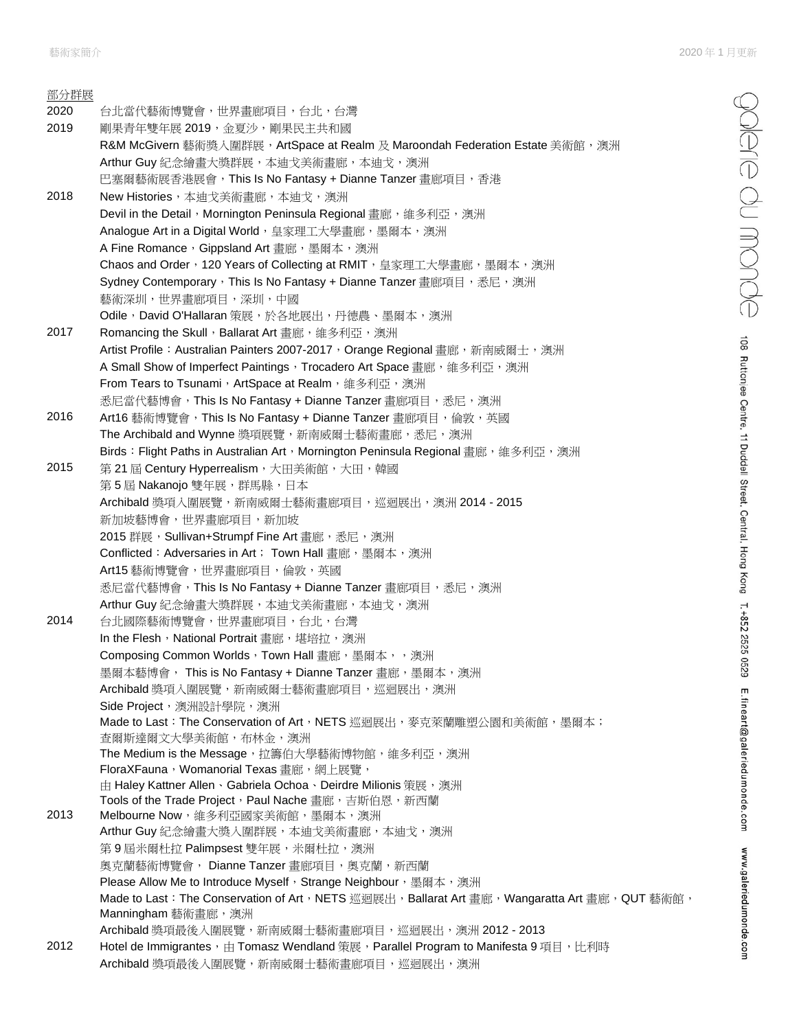edne du monde

108 Ruttonjee Centre, 11 Duddell Street, Central, Hong Kong T. +852 2525 0529 E.fineart@galeriedumonde.com www.galeriedumonde.com

| 部分群展 |                                                                                                                                                             |
|------|-------------------------------------------------------------------------------------------------------------------------------------------------------------|
| 2020 | 台北當代藝術博覽會,世界畫廊項目,台北,台灣                                                                                                                                      |
| 2019 | 剛果青年雙年展 2019,金夏沙,剛果民主共和國                                                                                                                                    |
|      | R&M McGivern 藝術獎入圍群展,ArtSpace at Realm 及 Maroondah Federation Estate 美術館,澳洲                                                                                 |
|      | Arthur Guy 紀念繪畫大獎群展,本迪戈美術畫廊,本迪戈,澳洲                                                                                                                          |
|      | 巴塞爾藝術展香港展會,This Is No Fantasy + Dianne Tanzer 畫廊項目,香港                                                                                                       |
| 2018 | New Histories, 本迪戈美術畫廊, 本迪戈, 澳洲                                                                                                                             |
|      | Devil in the Detail, Mornington Peninsula Regional 畫廊, 維多利亞, 澳洲                                                                                             |
|      | Analogue Art in a Digital World, 皇家理工大學畫廊, 墨爾本, 澳洲                                                                                                          |
|      | A Fine Romance, Gippsland Art 畫廊, 墨爾本, 澳洲                                                                                                                   |
|      | Chaos and Order,120 Years of Collecting at RMIT,皇家理工大學畫廊,墨爾本,澳洲                                                                                             |
|      | Sydney Contemporary,This Is No Fantasy + Dianne Tanzer 畫廊項目,悉尼,澳洲                                                                                           |
|      | 藝術深圳,世界畫廊項目,深圳,中國                                                                                                                                           |
|      | Odile,David O'Hallaran 策展,於各地展出,丹德農、墨爾本,澳洲                                                                                                                  |
| 2017 | Romancing the Skull, Ballarat Art 畫廊, 維多利亞, 澳洲                                                                                                              |
|      | Artist Profile: Australian Painters 2007-2017,Orange Regional 畫廊,新南威爾士,澳洲                                                                                   |
|      | A Small Show of Imperfect Paintings, Trocadero Art Space 畫廊, 維多利亞, 澳洲                                                                                       |
|      | From Tears to Tsunami, ArtSpace at Realm, 維多利亞,澳洲                                                                                                           |
|      | 悉尼當代藝博會, This Is No Fantasy + Dianne Tanzer 畫廊項目,悉尼,澳洲                                                                                                      |
| 2016 | Art16 藝術博覽會,This Is No Fantasy + Dianne Tanzer 畫廊項目,倫敦,英國                                                                                                   |
|      | The Archibald and Wynne 獎項展覽, 新南威爾士藝術畫廊, 悉尼, 澳洲                                                                                                             |
|      | Birds: Flight Paths in Australian Art, Mornington Peninsula Regional 畫廊, 維多利亞, 澳洲                                                                           |
| 2015 | 第21屆 Century Hyperrealism, 大田美術館, 大田, 韓國                                                                                                                    |
|      | 第5屆 Nakanojo 雙年展,群馬縣,日本                                                                                                                                     |
|      | Archibald 獎項入圍展覽,新南威爾士藝術畫廊項目,巡迴展出,澳洲 2014 - 2015                                                                                                            |
|      | 新加坡藝博會,世界畫廊項目,新加坡                                                                                                                                           |
|      | 2015 群展,Sullivan+Strumpf Fine Art 畫廊,悉尼,澳洲                                                                                                                  |
|      | Conflicted: Adversaries in Art; Town Hall 畫廊, 墨爾本, 澳洲                                                                                                       |
|      | Art15 藝術博覽會,世界畫廊項目,倫敦,英國                                                                                                                                    |
|      | 悉尼當代藝博會,This Is No Fantasy + Dianne Tanzer 畫廊項目,悉尼,澳洲                                                                                                       |
|      | Arthur Guy 紀念繪畫大獎群展,本迪戈美術畫廊,本迪戈,澳洲                                                                                                                          |
| 2014 | 台北國際藝術博覽會,世界畫廊項目,台北,台灣                                                                                                                                      |
|      | In the Flesh, National Portrait 畫廊, 堪培拉, 澳洲                                                                                                                 |
|      | Composing Common Worlds,Town Hall 畫廊,墨爾本,,澳洲<br>墨爾本藝博會, This is No Fantasy + Dianne Tanzer 畫廊,墨爾本,澳洲                                                        |
|      | Archibald 獎項入圍展覽,新南威爾士藝術畫廊項目,巡迴展出,澳洲                                                                                                                        |
|      | Side Project, 澳洲設計學院,澳洲                                                                                                                                     |
|      | Made to Last: The Conservation of Art, NETS 巡迴展出,麥克萊蘭雕塑公園和美術館,墨爾本;                                                                                          |
|      | 查爾斯達爾文大學美術館,布林金,澳洲                                                                                                                                          |
|      | The Medium is the Message,拉籌伯大學藝術博物館,維多利亞,澳洲                                                                                                                |
|      | FloraXFauna, Womanorial Texas 畫廊, 網上展覽,                                                                                                                     |
|      | 由 Haley Kattner Allen、Gabriela Ochoa、Deirdre Milionis 策展,澳洲                                                                                                 |
|      | Tools of the Trade Project, Paul Nache 畫廊, 吉斯伯恩, 新西蘭                                                                                                        |
| 2013 | Melbourne Now, 維多利亞國家美術館, 墨爾本, 澳洲                                                                                                                           |
|      | Arthur Guy 紀念繪畫大獎入圍群展,本迪戈美術畫廊,本迪戈,澳洲                                                                                                                        |
|      | 第9屆米爾杜拉 Palimpsest 雙年展,米爾杜拉,澳洲                                                                                                                              |
|      | 奧克蘭藝術博覽會, Dianne Tanzer 畫廊項目, 奧克蘭, 新西蘭                                                                                                                      |
|      | Please Allow Me to Introduce Myself, Strange Neighbour, 墨爾本,澳洲<br>Made to Last:The Conservation of Art,NETS 巡迴展出,Ballarat Art 畫廊,Wangaratta Art 畫廊,QUT 藝術館, |
|      | Manningham 藝術畫廊,澳洲                                                                                                                                          |
|      | Archibald 獎項最後入圍展覽,新南威爾士藝術畫廊項目,巡迴展出,澳洲 2012 - 2013                                                                                                          |
| 2012 | Hotel de Immigrantes, 由 Tomasz Wendland 策展, Parallel Program to Manifesta 9 項目, 比利時                                                                         |
|      | Archibald 獎項最後入圍展覽, 新南威爾士藝術畫廊項目, 巡迴展出, 澳洲                                                                                                                   |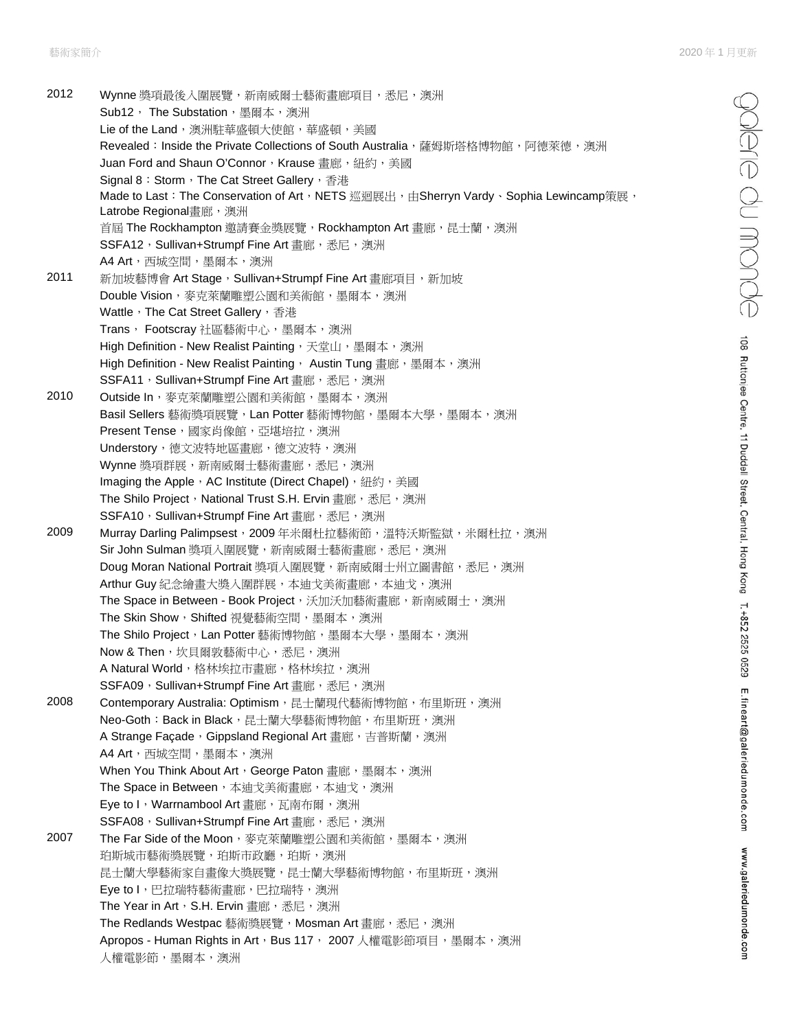2012 Wynne 獎項最後入圍展覽, 新南威爾士藝術書廊項目, 悉尼, 澳洲 Sub12, The Substation, 墨爾本, 澳洲 Lie of the Land, 澳洲駐華盛頓大使館,華盛頓,美國 Revealed: Inside the Private Collections of South Australia,薩姆斯塔格博物館,阿德萊德,澳洲 Juan Ford and Shaun O'Connor, Krause 畫廊, 紐約, 美國 Signal 8: Storm, The Cat Street Gallery, 香港 Made to Last: The Conservation of Art, NETS 巡迴展出, 由Sherryn Vardy、Sophia Lewincamp策展, Latrobe Regional書廊,澳洲 首屆 The Rockhampton 邀請賽金獎展覽,Rockhampton Art 畫廊,昆士蘭,澳洲 SSFA12, Sullivan+Strumpf Fine Art 書廊,悉尼,澳洲 A4 Art, 西城空間, 墨爾本, 澳洲 2011 新加坡藝博會 Art Stage, Sullivan+Strumpf Fine Art 畫廊項目, 新加坡 Double Vision, 麥克萊蘭雕塑公園和美術館, 墨爾本, 澳洲 Wattle, The Cat Street Gallery, 香港 Trans, Footscray 社區藝術中心, 墨爾本, 澳洲 High Definition - New Realist Painting, 天堂山, 墨爾本, 澳洲 High Definition - New Realist Painting, Austin Tung 畫廊,墨爾本,澳洲 SSFA11, Sullivan+Strumpf Fine Art 畫廊,悉尼,澳洲 2010 Outside In, 麥克萊蘭雕塑公園和美術館,墨爾本,澳洲 Basil Sellers 藝術獎項展覽, Lan Potter 藝術博物館, 墨爾本大學, 墨爾本, 澳洲 Present Tense, 國家肖像館,亞堪培拉,澳洲 Understory,德文波特地區畫廊,德文波特,澳洲 Wynne 獎項群展,新南威爾士藝術畫廊,悉尼,澳洲 Imaging the Apple, AC Institute (Direct Chapel), 紐約,美國 The Shilo Project, National Trust S.H. Ervin 畫廊,悉尼,澳洲 SSFA10, Sullivan+Strumpf Fine Art 畫廊,悉尼,澳洲 2009 Murray Darling Palimpsest, 2009年米爾杜拉藝術節,溫特沃斯監獄,米爾杜拉,澳洲 Sir John Sulman 獎項入圍展覽, 新南威爾士藝術畫廊,悉尼,澳洲 Doug Moran National Portrait 獎項入圍展覽, 新南威爾士州立圖書館,悉尼,澳洲 Arthur Guy 紀念繪畫大獎入圍群展,本迪戈美術畫廊,本迪戈,澳洲 The Space in Between - Book Project,沃加沃加藝術畫廊,新南威爾士,澳洲 The Skin Show, Shifted 視覺藝術空間,墨爾本,澳洲 The Shilo Project, Lan Potter 藝術博物館,墨爾本大學,墨爾本,澳洲 Now & Then,坎貝爾敦藝術中心,悉尼,澳洲 A Natural World,格林埃拉市書廊,格林埃拉,澳洲 SSFA09, Sullivan+Strumpf Fine Art 畫廊,悉尼,澳洲 2008 Contemporary Australia: Optimism, 昆士蘭現代藝術博物館, 布里斯班, 澳洲 Neo-Goth: Back in Black, 昆士蘭大學藝術博物館, 布里斯班,澳洲 A Strange Façade, Gippsland Regional Art 畫廊,吉普斯蘭,澳洲 A4 Art, 西城空間, 墨爾本, 澳洲 When You Think About Art, George Paton 畫廊,墨爾本,澳洲 The Space in Between, 本迪戈美術畫廊, 本迪戈, 澳洲 Eye to I, Warrnambool Art 畫廊, 瓦南布爾,澳洲 SSFA08, Sullivan+Strumpf Fine Art 畫廊,悉尼,澳洲 2007 The Far Side of the Moon, 麥克萊蘭雕塑公園和美術館, 墨爾本, 澳洲 珀斯城市藝術獎展覽,珀斯市政廳,珀斯,澳洲 昆士蘭大學藝術家自畫像大獎展覽,昆士蘭大學藝術博物館,布里斯班,澳洲 Eye to I, 巴拉瑞特藝術書廊, 巴拉瑞特, 澳洲 The Year in Art, S.H. Ervin 書廊,悉尼,澳洲 The Redlands Westpac 藝術獎展覽, Mosman Art 畫廊,悉尼,澳洲 Apropos - Human Rights in Art,Bus 117, 2007 人權電影節項目,墨爾本,澳洲 人權電影節,墨爾本,澳洲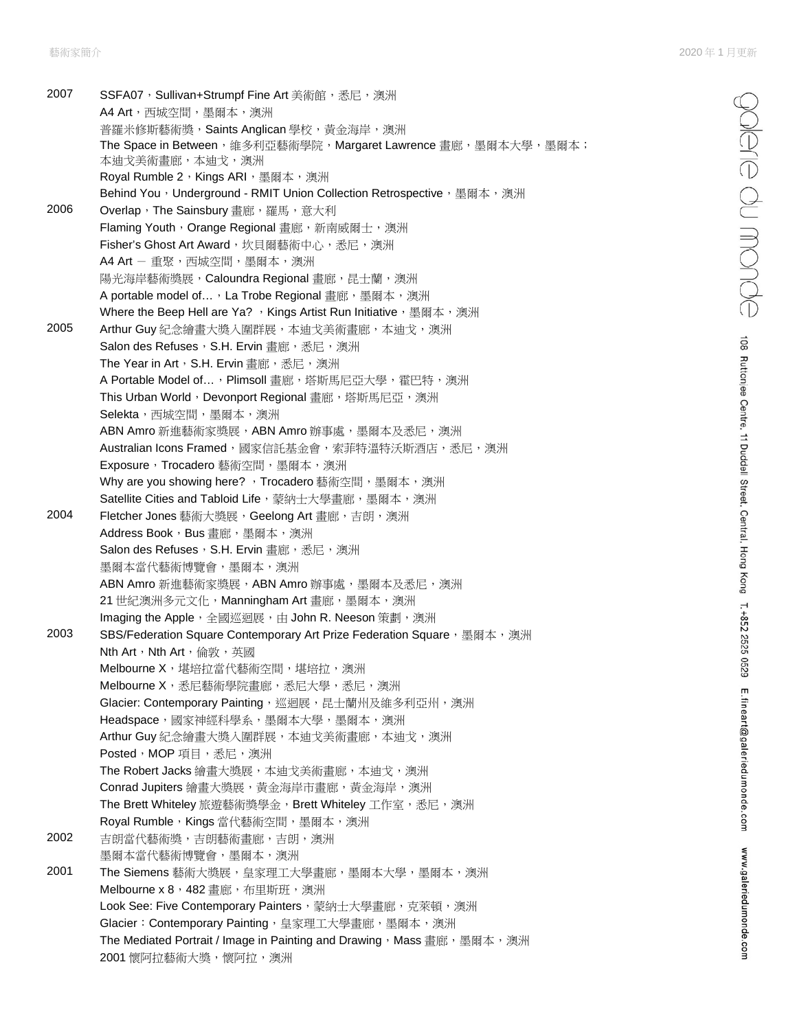polere du monde

108 Ruttonjee Centre, 11 Duddell Street, Central, Hong Kong T.+852 2525 0529 E.fineart@galeriedumonde.com

www.galeriedumonde.com

2007 SSFA07, Sullivan+Strumpf Fine Art 美術館,悉尼,澳洲 A4 Art, 西城空間, 墨爾本, 澳洲 普羅米修斯藝術獎, Saints Anglican 學校, 黃金海岸, 澳洲 The Space in Between,維多利亞藝術學院,Margaret Lawrence 畫廊,墨爾本大學,墨爾本; 本迪戈美術畫廊,本迪戈,澳洲 Royal Rumble 2, Kings ARI, 墨爾本,澳洲 Behind You, Underground - RMIT Union Collection Retrospective, 墨爾本,澳洲 2006 Overlap, The Sainsbury 畫廊, 羅馬, 意大利 Flaming Youth, Orange Regional 畫廊, 新南威爾士, 澳洲 Fisher's Ghost Art Award, 坎貝爾藝術中心,悉尼,澳洲 A4 Art - 重聚,西城空間,墨爾本,澳洲 陽光海岸藝術獎展, Caloundra Regional 畫廊, 昆士蘭, 澳洲 A portable model of..., La Trobe Regional 書廊,墨爾本,澳洲 Where the Beep Hell are Ya? , Kings Artist Run Initiative, 墨爾本, 澳洲 2005 Arthur Guy 紀念繪書大獎入圍群展,本迪戈美術書廊,本迪戈,澳洲 Salon des Refuses, S.H. Ervin 書廊,悉尼,澳洲 The Year in Art, S.H. Ervin 畫廊,悉尼,澳洲 A Portable Model of..., Plimsoll 畫廊,塔斯馬尼亞大學,霍巴特,澳洲 This Urban World, Devonport Regional 畫廊, 塔斯馬尼亞, 澳洲 **Selekta**, 西城空間, 墨爾本, 澳洲 ABN Amro 新進藝術家獎展, ABN Amro 辦事處, 墨爾本及悉尼,澳洲 Australian Icons Framed, 國家信託基金會,索菲特溫特沃斯酒店,悉尼,澳洲 Exposure, Trocadero 藝術空間, 墨爾本, 澳洲 Why are you showing here? , Trocadero 藝術空間, 墨爾本, 澳洲 Satellite Cities and Tabloid Life, 蒙納士大學畫廊, 墨爾本, 澳洲 2004 Fletcher Jones 藝術大獎展, Geelong Art 畫廊,吉朗,澳洲 Address Book, Bus 畫廊, 墨爾本, 澳洲 Salon des Refuses, S.H. Ervin 畫廊,悉尼,澳洲 墨爾本當代藝術博覽會,墨爾本,澳洲 ABN Amro 新進藝術家獎展,ABN Amro 辦事處,墨爾本及悉尼,澳洲 21 世紀澳洲多元文化,Manningham Art 畫廊,墨爾本,澳洲 Imaging the Apple,全國巡迴展,由 John R. Neeson 策劃,澳洲 2003 SBS/Federation Square Contemporary Art Prize Federation Square, 墨爾本,澳洲 Nth Art, Nth Art, 倫敦, 英國 Melbourne X, 堪培拉當代藝術空間, 堪培拉, 澳洲 Melbourne X,悉尼藝術學院畫廊,悉尼大學,悉尼,澳洲 Glacier: Contemporary Painting,巡迴展,昆士蘭州及維多利亞州,澳洲 Headspace,國家神經科學系,墨爾本大學,墨爾本,澳洲 Arthur Guy 紀念繪畫大獎入圍群展,本迪戈美術畫廊,本迪戈,澳洲 Posted, MOP 項目,悉尼,澳洲 The Robert Jacks 繪畫大獎展,本迪戈美術畫廊,本迪戈,澳洲 Conrad Jupiters 繪畫大獎展,黃金海岸市畫廊,黃金海岸,澳洲 The Brett Whiteley 旅遊藝術獎學金, Brett Whiteley 工作室,悉尼,澳洲 Royal Rumble, Kings 當代藝術空間,墨爾本,澳洲 2002 吉朗當代藝術獎,吉朗藝術畫廊,吉朗,澳洲 墨爾本當代藝術博覽會,墨爾本,澳洲 2001 The Siemens 藝術大獎展,皇家理工大學畫廊,墨爾本大學,墨爾本,澳洲 Melbourne x 8, 482 畫廊, 布里斯班, 澳洲 Look See: Five Contemporary Painters, 蒙納士大學畫廊, 克萊頓,澳洲 Glacier: Contemporary Painting, 皇家理工大學畫廊, 墨爾本, 澳洲 The Mediated Portrait / Image in Painting and Drawing, Mass 畫廊, 墨爾本,澳洲 2001 懷阿拉藝術大獎,懷阿拉,澳洲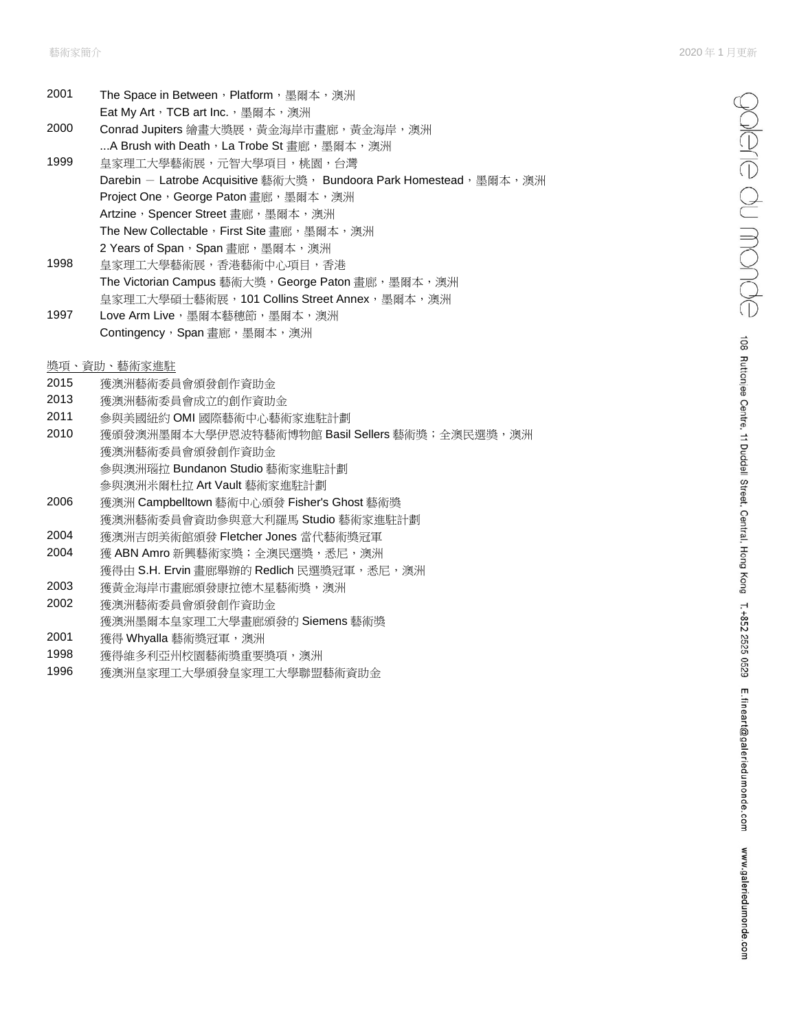| 2001 | The Space in Between,Platform,墨爾本,澳洲                               |
|------|--------------------------------------------------------------------|
|      | Eat My Art,TCB art Inc.,墨爾本,澳洲                                     |
| 2000 | Conrad Jupiters 繪畫大獎展,黃金海岸市畫廊,黃金海岸,澳洲                              |
|      | A Brush with Death,La Trobe St 畫廊,墨爾本,澳洲                           |
| 1999 | 皇家理工大學藝術展,元智大學項目,桃園,台灣                                             |
|      | Darebin - Latrobe Acquisitive 藝術大獎, Bundoora Park Homestead,墨爾本,澳洲 |
|      | Project One,George Paton 書廊,墨爾本,澳洲                                 |
|      | Artzine,Spencer Street 書廊,墨爾本,澳洲                                   |
|      | The New Collectable,First Site 書廊,墨爾本,澳洲                           |
|      | 2 Years of Span,Span 書廊,墨爾本,澳洲                                     |
| 1998 | 皇家理工大學藝術展,香港藝術中心項目,香港                                              |
|      | The Victorian Campus 藝術大獎,George Paton 書廊,墨爾本,澳洲                   |
|      | 皇家理工大學碩十藝術展,101 Collins Street Annex,墨爾本,澳洲                        |
| 1997 | Love Arm Live,墨爾本藝穗節,墨爾本,澳洲                                        |
|      | Contingency,Span 書廊,墨爾本,澳洲                                         |
|      |                                                                    |
|      | 獎項、資助、藝術家推駐                                                        |
| 2015 | 獲澳洲藝術委員會頒發創作資助金                                                    |
| 2013 | 獲澳洲藝術委員會成立的創作資助金                                                   |

- 2011 參與美國紐約 OMI 國際藝術中心藝術家進駐計劃
- 2010 獲頒發澳洲墨爾本大學伊恩波特藝術博物館 Basil Sellers 藝術獎;全澳民選獎,澳洲 獲澳洲藝術委員會頒發創作資助金 參與澳洲瑙拉 Bundanon Studio 藝術家進駐計劃 參與澳洲米爾杜拉 Art Vault 藝術家進駐計劃
- 2006 獲澳洲 Campbelltown 藝術中心頒發 Fisher's Ghost 藝術獎 獲澳洲藝術委員會資助參與意大利羅馬 Studio 藝術家進駐計劃
- 2004 獲澳洲吉朗美術館頒發 Fletcher Jones 當代藝術獎冠軍
- 2004 獲 ABN Amro 新興藝術家獎;全澳民選獎,悉尼,澳洲 獲得由 S.H. Ervin 畫廊舉辦的 Redlich 民選獎冠軍,悉尼,澳洲
- 2003 獲黃金海岸市畫廊頒發康拉德木星藝術獎,澳洲
- 2002 獲澳洲藝術委員會頒發創作資助金
- 獲澳洲墨爾本皇家理工大學畫廊頒發的 Siemens 藝術獎
- 2001 獲得 Whyalla 藝術獎冠軍,澳洲
- 1998 獲得維多利亞州校園藝術獎重要獎項,澳洲
- 1996 獲澳洲皇家理工大學頒發皇家理工大學聯盟藝術資助金